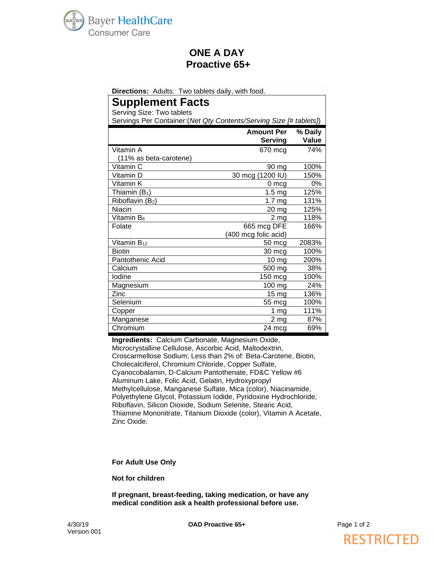

## **ONE A DAY Proactive 65+**

| Directions: Adults: Two tablets daily, with food.                   |                      |         |
|---------------------------------------------------------------------|----------------------|---------|
| <b>Supplement Facts</b>                                             |                      |         |
| Serving Size: Two tablets                                           |                      |         |
| Servings Per Container: (Net Qty Contents/Serving Size [# tablets]) |                      |         |
|                                                                     | <b>Amount Per</b>    | % Daily |
|                                                                     | <b>Serving</b>       | Value   |
| Vitamin A                                                           | 670 mcg              | 74%     |
| (11% as beta-carotene)                                              |                      |         |
| Vitamin C                                                           | 90 mg                | 100%    |
| Vitamin D                                                           | 30 mcg (1200 IU)     | 150%    |
| Vitamin K                                                           | $0 \text{ mcg}$      | 0%      |
| Thiamin $(B_1)$                                                     | 1.5 <sub>mg</sub>    | 125%    |
| Riboflavin (B2)                                                     | 1.7 <sub>mg</sub>    | 131%    |
| Niacin                                                              | $20 \, mg$           | 125%    |
| Vitamin B <sub>6</sub>                                              | 2 <sub>mg</sub>      | 118%    |
| Folate                                                              | 665 mcg DFE          | 166%    |
|                                                                     | (400 mcg folic acid) |         |
| Vitamin $B_{12}$                                                    | 50 mcg               | 2083%   |
| <b>Biotin</b>                                                       | 30 mcg               | 100%    |
| Pantothenic Acid                                                    | 10 mg                | 200%    |
| Calcium                                                             | 500 mg               | 38%     |
| lodine                                                              | 150 mcg              | 100%    |
| Magnesium                                                           | 100 mg               | 24%     |
| Zinc                                                                | 15 <sub>mg</sub>     | 136%    |
| Selenium                                                            | 55 mcg               | 100%    |
| Copper                                                              | 1 $mg$               | 111%    |
| Manganese                                                           | 2 <sub>mg</sub>      | 87%     |
| Chromium                                                            | 24 mcg               | 69%     |

**Ingredients:** Calcium Carbonate, Magnesium Oxide, Microcrystalline Cellulose, Ascorbic Acid, Maltodextrin, Croscarmellose Sodium; Less than 2% of: Beta-Carotene, Biotin, Cholecalciferol, Chromium Chloride, Copper Sulfate, Cyanocobalamin, D-Calcium Pantothenate, FD&C Yellow #6 Aluminum Lake, Folic Acid, Gelatin, Hydroxypropyl Methylcellulose, Manganese Sulfate, Mica (color), Niacinamide, Polyethylene Glycol, Potassium Iodide, Pyridoxine Hydrochloride, Riboflavin, Silicon Dioxide, Sodium Selenite, Stearic Acid, Thiamine Mononitrate, Titanium Dioxide (color), Vitamin A Acetate, Zinc Oxide.

#### **For Adult Use Only**

**Not for children**

**If pregnant, breast-feeding, taking medication, or have any medical condition ask a health professional before use.**